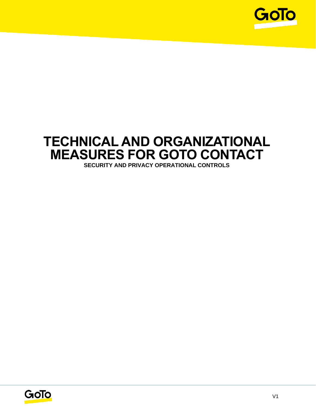

## **TECHNICAL AND ORGANIZATIONAL MEASURES FOR GOTO CONTACT SECURITY AND PRIVACY OPERATIONAL CONTROLS**

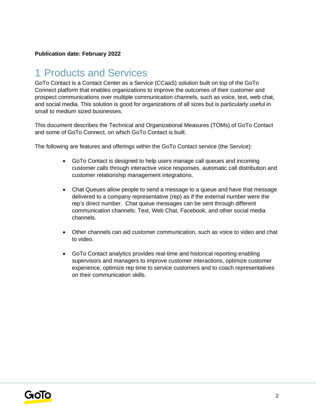#### **Publication date: February 2022**

## 1 Products and Services

GoTo Contact is a Contact Center as a Service (CCaaS) solution built on top of the GoTo Connect platform that enables organizations to improve the outcomes of their customer and prospect communications over multiple communication channels, such as voice, text, web chat, and social media. This solution is good for organizations of all sizes but is particularly useful in small to medium sized businesses.

This document describes the Technical and Organizational Measures (TOMs) of GoTo Contact and some of GoTo Connect, on which GoTo Contact is built.

The following are features and offerings within the GoTo Contact service (the Service):

- GoTo Contact is designed to help users manage call queues and incoming customer calls through interactive voice responses, automatic call distribution and customer relationship management integrations.
- Chat Queues allow people to send a message to a queue and have that message delivered to a company representative (rep) as if the external number were the rep's direct number. Chat queue messages can be sent through different communication channels: Text, Web Chat, Facebook, and other social media channels.
- Other channels can aid customer communication, such as voice to video and chat to video.
- GoTo Contact analytics provides real-time and historical reporting enabling supervisors and managers to improve customer interactions, optimize customer experience, optimize rep time to service customers and to coach representatives on their communication skills.

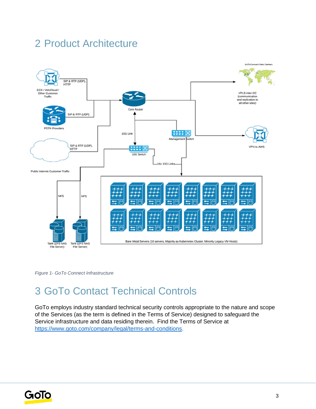## 2 Product Architecture



*Figure 1- GoTo Connect Infrastructure*

## 3 GoTo Contact Technical Controls

GoTo employs industry standard technical security controls appropriate to the nature and scope of the Services (as the term is defined in the Terms of Service) designed to safeguard the Service infrastructure and data residing therein. Find the Terms of Service a[t](http://www.logmein.com/legal/terms-and-conditions) [https://www.goto.com/company/legal/terms-and-conditions.](https://www.goto.com/company/legal/terms-and-conditions)

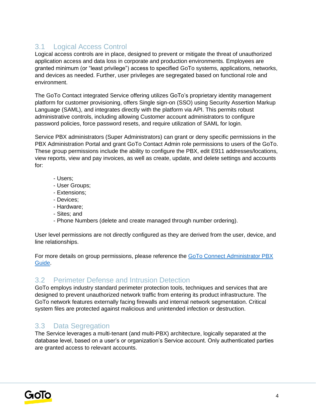### 3.1 Logical Access Control

Logical access controls are in place, designed to prevent or mitigate the threat of unauthorized application access and data loss in corporate and production environments. Employees are granted minimum (or "least privilege") access to specified GoTo systems, applications, networks, and devices as needed. Further, user privileges are segregated based on functional role and environment.

The GoTo Contact integrated Service offering utilizes GoTo's proprietary identity management platform for customer provisioning, offers Single sign-on (SSO) using Security Assertion Markup Language (SAML), and integrates directly with the platform via API. This permits robust administrative controls, including allowing Customer account administrators to configure password policies, force password resets, and require utilization of SAML for login.

Service PBX administrators (Super Administrators) can grant or deny specific permissions in the PBX Administration Portal and grant GoTo Contact Admin role permissions to users of the GoTo. These group permissions include the ability to configure the PBX, edit E911 addresses/locations, view reports, view and pay invoices, as well as create, update, and delete settings and accounts for:

- Users;
- User Groups;
- Extensions;
- Devices;
- Hardware;
- Sites; and
- Phone Numbers (delete and create managed through number ordering).

User level permissions are not directly configured as they are derived from the user, device, and line relationships.

For more details on group permissions, please reference the GoTo [Connect Administrator PBX](https://www.goto.com/connect/hosted-pbx)  [Guide.](https://www.goto.com/connect/hosted-pbx)

### 3.2 Perimeter Defense and Intrusion Detection

GoTo employs industry standard perimeter protection tools, techniques and services that are designed to prevent unauthorized network traffic from entering its product infrastructure. The GoTo network features externally facing firewalls and internal network segmentation. Critical system files are protected against malicious and unintended infection or destruction.

### 3.3 Data Segregation

The Service leverages a multi-tenant (and multi-PBX) architecture, logically separated at the database level, based on a user's or organization's Service account. Only authenticated parties are granted access to relevant accounts.

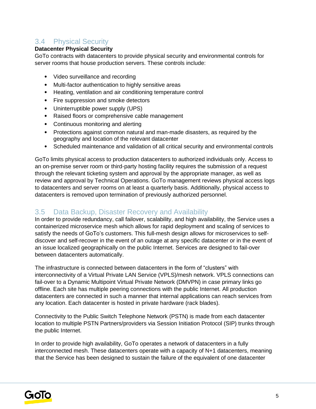## 3.4 Physical Security

#### **Datacenter Physical Security**

GoTo contracts with datacenters to provide physical security and environmental controls for server rooms that house production servers. These controls include:

- Video surveillance and recording
- Multi-factor authentication to highly sensitive areas
- Heating, ventilation and air conditioning temperature control
- Fire suppression and smoke detectors
- Uninterruptible power supply (UPS)
- Raised floors or comprehensive cable management
- Continuous monitoring and alerting
- Protections against common natural and man-made disasters, as required by the geography and location of the relevant datacenter
- Scheduled maintenance and validation of all critical security and environmental controls

GoTo limits physical access to production datacenters to authorized individuals only. Access to an on-premise server room or third-party hosting facility requires the submission of a request through the relevant ticketing system and approval by the appropriate manager, as well as review and approval by Technical Operations. GoTo management reviews physical access logs to datacenters and server rooms on at least a quarterly basis. Additionally, physical access to datacenters is removed upon termination of previously authorized personnel.

#### 3.5 Data Backup, Disaster Recovery and Availability

In order to provide redundancy, call failover, scalability, and high availability, the Service uses a containerized microservice mesh which allows for rapid deployment and scaling of services to satisfy the needs of GoTo's customers. This full-mesh design allows for microservices to selfdiscover and self-recover in the event of an outage at any specific datacenter or in the event of an issue localized geographically on the public Internet. Services are designed to fail-over between datacenters automatically.

The infrastructure is connected between datacenters in the form of "clusters" with interconnectivity of a Virtual Private LAN Service (VPLS)/mesh network. VPLS connections can fail-over to a Dynamic Multipoint Virtual Private Network (DMVPN) in case primary links go offline. Each site has multiple peering connections with the public Internet. All production datacenters are connected in such a manner that internal applications can reach services from any location. Each datacenter is hosted in private hardware (rack blades).

Connectivity to the Public Switch Telephone Network (PSTN) is made from each datacenter location to multiple PSTN Partners/providers via Session Initiation Protocol (SIP) trunks through the public Internet.

In order to provide high availability, GoTo operates a network of datacenters in a fully interconnected mesh. These datacenters operate with a capacity of N+1 datacenters, meaning that the Service has been designed to sustain the failure of the equivalent of one datacenter

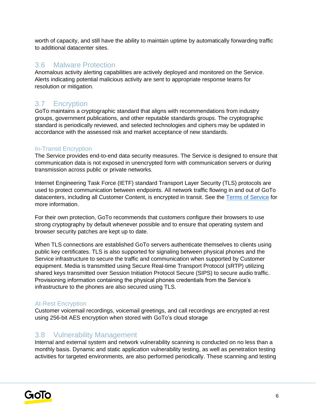worth of capacity, and still have the ability to maintain uptime by automatically forwarding traffic to additional datacenter sites.

#### 3.6 Malware Protection

Anomalous activity alerting capabilities are actively deployed and monitored on the Service. Alerts indicating potential malicious activity are sent to appropriate response teams for resolution or mitigation.

### 3.7 Encryption

GoTo maintains a cryptographic standard that aligns with recommendations from industry groups, government publications, and other reputable standards groups. The cryptographic standard is periodically reviewed, and selected technologies and ciphers may be updated in accordance with the assessed risk and market acceptance of new standards.

#### In-Transit Encryption

The Service provides end-to-end data security measures. The Service is designed to ensure that communication data is not exposed in unencrypted form with communication servers or during transmission across public or private networks.

Internet Engineering Task Force (IETF) standard Transport Layer Security (TLS) protocols are used to protect communication between endpoints. All network traffic flowing in and out of GoTo datacenters, including all Customer Content, is encrypted in transit. See the [Terms of Service](https://www.goto.com/company/legal/terms-and-conditions) for more information.

For their own protection, GoTo recommends that customers configure their browsers to use strong cryptography by default whenever possible and to ensure that operating system and browser security patches are kept up to date.

When TLS connections are established GoTo servers authenticate themselves to clients using public key certificates. TLS is also supported for signaling between physical phones and the Service infrastructure to secure the traffic and communication when supported by Customer equipment. Media is transmitted using Secure Real-time Transport Protocol (sRTP) utilizing shared keys transmitted over Session Initiation Protocol Secure (SIPS) to secure audio traffic. Provisioning information containing the physical phones credentials from the Service's infrastructure to the phones are also secured using TLS.

#### At-Rest Encryption

Customer voicemail recordings, voicemail greetings, and call recordings are encrypted at-rest using 256-bit AES encryption when stored with GoTo's cloud storage

### 3.8 Vulnerability Management

Internal and external system and network vulnerability scanning is conducted on no less than a monthly basis. Dynamic and static application vulnerability testing, as well as penetration testing activities for targeted environments, are also performed periodically. These scanning and testing

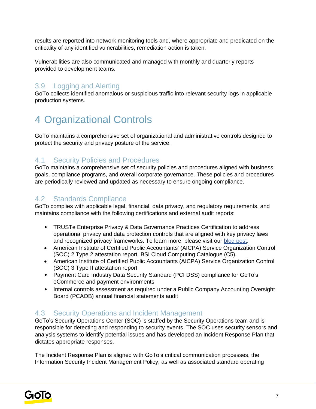results are reported into network monitoring tools and, where appropriate and predicated on the criticality of any identified vulnerabilities, remediation action is taken.

Vulnerabilities are also communicated and managed with monthly and quarterly reports provided to development teams.

### 3.9 Logging and Alerting

GoTo collects identified anomalous or suspicious traffic into relevant security logs in applicable production systems.

## 4 Organizational Controls

GoTo maintains a comprehensive set of organizational and administrative controls designed to protect the security and privacy posture of the service.

### 4.1 Security Policies and Procedures

GoTo maintains a comprehensive set of security policies and procedures aligned with business goals, compliance programs, and overall corporate governance. These policies and procedures are periodically reviewed and updated as necessary to ensure ongoing compliance.

#### 4.2 Standards Compliance

GoTo complies with applicable legal, financial, data privacy, and regulatory requirements, and maintains compliance with the following certifications and external audit reports:

- TRUSTe Enterprise Privacy & Data Governance Practices Certification to address operational privacy and data protection controls that are aligned with key privacy laws and recognized privacy frameworks. To learn more, please visit ou[r](https://blog.logmeininc.com/logmein-furthers-commitment-to-data-privacy-with-truste-enterprise-privacy-certification-seal/?lang=en) [blog post](https://www.goto.com/blog/logmein-furthers-commitment-to-data-privacy-with-truste-enterprise-privacy-certification-seal)[.](https://blog.logmeininc.com/logmein-furthers-commitment-to-data-privacy-with-truste-enterprise-privacy-certification-seal/?lang=en)
- American Institute of Certified Public Accountants' (AICPA) Service Organization Control (SOC) 2 Type 2 attestation report. BSI Cloud Computing Catalogue (C5).
- American Institute of Certified Public Accountants (AICPA) Service Organization Control (SOC) 3 Type II attestation report
- Payment Card Industry Data Security Standard (PCI DSS) compliance for GoTo's eCommerce and payment environments
- Internal controls assessment as required under a Public Company Accounting Oversight Board (PCAOB) annual financial statements audit

## 4.3 Security Operations and Incident Management

GoTo's Security Operations Center (SOC) is staffed by the Security Operations team and is responsible for detecting and responding to security events. The SOC uses security sensors and analysis systems to identify potential issues and has developed an Incident Response Plan that dictates appropriate responses.

The Incident Response Plan is aligned with GoTo's critical communication processes, the Information Security Incident Management Policy, as well as associated standard operating

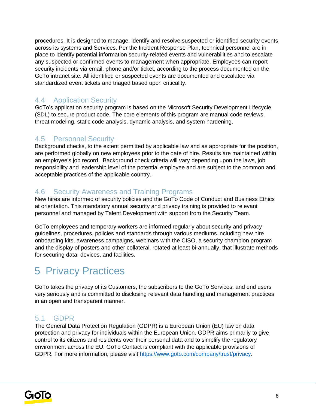procedures. It is designed to manage, identify and resolve suspected or identified security events across its systems and Services. Per the Incident Response Plan, technical personnel are in place to identify potential information security-related events and vulnerabilities and to escalate any suspected or confirmed events to management when appropriate. Employees can report security incidents via email, phone and/or ticket, according to the process documented on the GoTo intranet site. All identified or suspected events are documented and escalated via standardized event tickets and triaged based upon criticality.

## 4.4 Application Security

GoTo's application security program is based on the Microsoft Security Development Lifecycle (SDL) to secure product code. The core elements of this program are manual code reviews, threat modeling, static code analysis, dynamic analysis, and system hardening.

## 4.5 Personnel Security

Background checks, to the extent permitted by applicable law and as appropriate for the position, are performed globally on new employees prior to the date of hire. Results are maintained within an employee's job record. Background check criteria will vary depending upon the laws, job responsibility and leadership level of the potential employee and are subject to the common and acceptable practices of the applicable country.

### 4.6 Security Awareness and Training Programs

New hires are informed of security policies and the GoTo Code of Conduct and Business Ethics at orientation. This mandatory annual security and privacy training is provided to relevant personnel and managed by Talent Development with support from the Security Team.

GoTo employees and temporary workers are informed regularly about security and privacy guidelines, procedures, policies and standards through various mediums including new hire onboarding kits, awareness campaigns, webinars with the CISO, a security champion program and the display of posters and other collateral, rotated at least bi-annually, that illustrate methods for securing data, devices, and facilities.

# 5 Privacy Practices

GoTo takes the privacy of its Customers, the subscribers to the GoTo Services, and end users very seriously and is committed to disclosing relevant data handling and management practices in an open and transparent manner.

### 5.1 GDPR

The General Data Protection Regulation (GDPR) is a European Union (EU) law on data protection and privacy for individuals within the European Union. GDPR aims primarily to give control to its citizens and residents over their personal data and to simplify the regulatory environment across the EU. GoTo Contact is compliant with the applicable provisions of GDPR. For more information, please visit [https://www.goto.com/company/trust/privacy.](https://www.goto.com/company/trust/privacy)

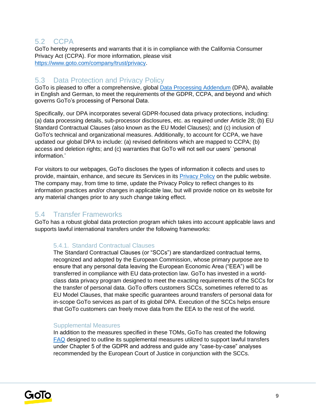### 5.2 CCPA

GoTo hereby represents and warrants that it is in compliance with the California Consumer Privacy Act (CCPA). For more information, please visit [https://www.goto.com/company/trust/privacy.](https://www.goto.com/company/trust/privacy)

### 5.3 Data Protection and Privacy Policy

GoTo is pleased to offer a comprehensive, global [Data Processing Addendum](https://www.goto.com/company/legal) (DPA), available in [English](https://www.docusign.net/Member/PowerFormSigning.aspx?PowerFormId=87db4c61-3929-4ccb-ab58-b202e064c4a1) and [German,](https://www.docusign.net/Member/PowerFormSigning.aspx?PowerFormId=29541afa-3cf0-4d7c-90f8-e971a0866b8e&env=na1) to meet the requirements of the GDPR, CCPA, and beyond and which governs GoTo's processing of Personal Data.

Specifically, our DPA incorporates several GDPR-focused data privacy protections, including: (a) data processing details, sub-processor disclosures, etc. as required under Article 28; (b) EU Standard Contractual Clauses (also known as the EU Model Clauses); and (c) inclusion of GoTo's technical and organizational measures. Additionally, to account for CCPA, we have updated our global DPA to include: (a) revised definitions which are mapped to CCPA; (b) access and deletion rights; and (c) warranties that GoTo will not sell our users' 'personal information.'

For visitors to our webpages, GoTo discloses the types of information it collects and uses to provide, maintain, enhance, and secure its Services in its **Privacy Policy** on the public website. The company may, from time to time, update the Privacy Policy to reflect changes to its information practices and/or changes in applicable law, but will provide notice on its website for any material changes prior to any such change taking effect.

#### 5.4 Transfer Frameworks

GoTo has a robust global data protection program which takes into account applicable laws and supports lawful international transfers under the following frameworks:

#### 5.4.1. Standard Contractual Clauses

The Standard Contractual Clauses (or "SCCs") are standardized contractual terms, recognized and adopted by the European Commission, whose primary purpose are to ensure that any personal data leaving the European Economic Area ("EEA") will be transferred in compliance with EU data-protection law. GoTo has invested in a worldclass data privacy program designed to meet the exacting requirements of the SCCs for the transfer of personal data. GoTo offers customers SCCs, sometimes referred to as EU Model Clauses, that make specific guarantees around transfers of personal data for in-scope GoTo services as part of its global DPA. Execution of the SCCs helps ensure that GoTo customers can freely move data from the EEA to the rest of the world.

#### Supplemental Measures

In addition to the measures specified in these TOMs, GoTo has created the following [FAQ](https://logmeincdn.azureedge.net/legal/international-data-transfers-faq.pdf) designed to outline its supplemental measures utilized to support lawful transfers under Chapter 5 of the GDPR and address and guide any "case-by-case" analyses recommended by the European Court of Justice in conjunction with the SCCs.

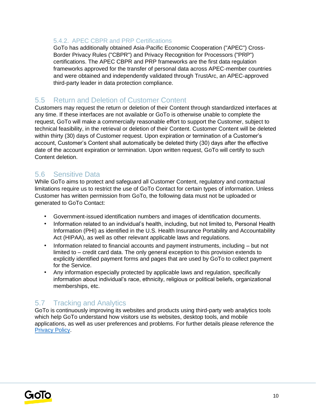#### 5.4.2. APEC CBPR and PRP Certifications

GoTo has additionally obtained Asia-Pacific Economic Cooperation ("APEC") Cross-Border Privacy Rules ("CBPR") and Privacy Recognition for Processors ("PRP") certifications. The APEC CBPR and PRP frameworks are the first data regulation frameworks approved for the transfer of personal data across APEC-member countries and were obtained and independently validated through TrustArc, an APEC-approved third-party leader in data protection compliance.

#### 5.5 Return and Deletion of Customer Content

Customers may request the return or deletion of their Content through standardized interfaces at any time. If these interfaces are not available or GoTo is otherwise unable to complete the request, GoTo will make a commercially reasonable effort to support the Customer, subject to technical feasibility, in the retrieval or deletion of their Content. Customer Content will be deleted within thirty (30) days of Customer request. Upon expiration or termination of a Customer's account, Customer's Content shall automatically be deleted thirty (30) days after the effective date of the account expiration or termination. Upon written request, GoTo will certify to such Content deletion.

### 5.6 Sensitive Data

While GoTo aims to protect and safeguard all Customer Content, regulatory and contractual limitations require us to restrict the use of GoTo Contact for certain types of information. Unless Customer has written permission from GoTo, the following data must not be uploaded or generated to GoTo Contact:

- Government-issued identification numbers and images of identification documents.
- Information related to an individual's health, including, but not limited to, Personal Health Information (PHI) as identified in the U.S. Health Insurance Portability and Accountability Act (HIPAA), as well as other relevant applicable laws and regulations.
- Information related to financial accounts and payment instruments, including but not limited to – credit card data. The only general exception to this provision extends to explicitly identified payment forms and pages that are used by GoTo to collect payment for the Service.
- Any information especially protected by applicable laws and regulation, specifically information about individual's race, ethnicity, religious or political beliefs, organizational memberships, etc.

## 5.7 Tracking and Analytics

GoTo is continuously improving its websites and products using third-party web analytics tools which help GoTo understand how visitors use its websites, desktop tools, and mobile applications, as well as user preferences and problems. For further details please reference the [Privacy Policy](https://www.goto.com/company/legal/privacy)[.](https://www.logmein.com/legal/privacy)